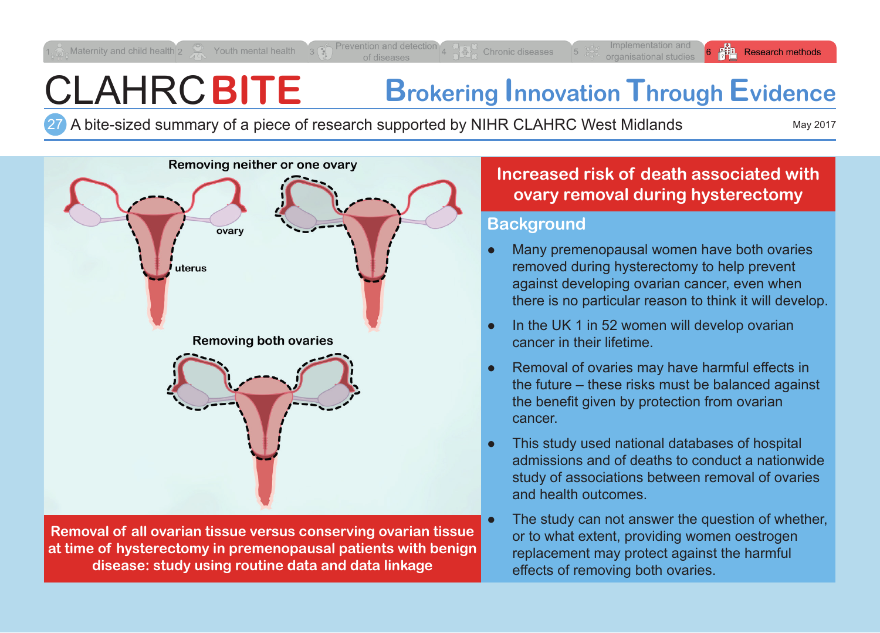# CLAHRC**BITE Brokering Innovation Through Evidence**

A bite-sized summary of a piece of research supported by NIHR CLAHRC West Midlands May 2017 27

**Research methods** 



Maternity and child health  $2 \leq 1$  Youth mental health

**Removal of all ovarian tissue versus conserving ovarian tissue at time of hysterectomy in premenopausal patients with benign disease: study using routine data and data linkage**

## **Increased risk of death associated with ovary removal during hysterectomy**

#### **Background**

- Many premenopausal women have both ovaries removed during hysterectomy to help prevent against developing ovarian cancer, even when there is no particular reason to think it will develop.
- In the UK 1 in 52 women will develop ovarian cancer in their lifetime.
- Removal of ovaries may have harmful effects in the future – these risks must be balanced against the benefit given by protection from ovarian cancer.
- This study used national databases of hospital admissions and of deaths to conduct a nationwide study of associations between removal of ovaries and health outcomes.
- The study can not answer the question of whether, or to what extent, providing women oestrogen replacement may protect against the harmful effects of removing both ovaries.